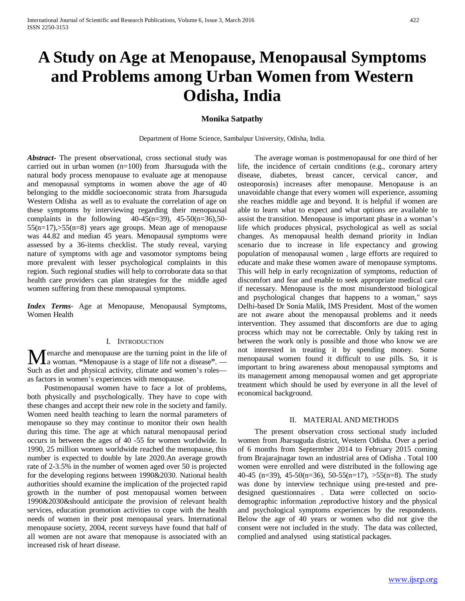# **A Study on Age at Menopause, Menopausal Symptoms and Problems among Urban Women from Western Odisha, India**

# **Monika Satpathy**

Department of Home Science, Sambalpur University, Odisha, India.

*Abstract***-** The present observational, cross sectional study was carried out in urban women (n=100) from Jharsuguda with the natural body process menopause to evaluate age at menopause and menopausal symptoms in women above the age of 40 belonging to the middle socioeconomic strata from Jharsuguda Western Odisha as well as to evaluate the correlation of age on these symptoms by interviewing regarding their menopausal complaints in the following  $40-45(n=39)$ ,  $45-50(n=36)$ , 50-55(n=17),>55(n=8) years age groups. Mean age of menopause was 44.82 and median 45 years. Menopausal symptoms were assessed by a 36-items checklist. The study reveal, varying nature of symptoms with age and vasomotor symptoms being more prevalent with lesser psychological complaints in this region. Such regional studies will help to corroborate data so that health care providers can plan strategies for the middle aged women suffering from these menopausal symptoms.

*Index Terms*- Age at Menopause, Menopausal Symptoms, Women Health

#### I. INTRODUCTION

enarche and menopause are the turning point in the life of **M**enarche and menopause are the turning point in the life of a woman. "Menopause is a stage of life not a disease". Such as diet and physical activity, climate and women's roles as factors in women's experiences with menopause.

 Postmenopausal women have to face a lot of problems, both physically and psychologically. They have to cope with these changes and accept their new role in the society and family. Women need health teaching to learn the normal parameters of menopause so they may continue to monitor their own health during this time. The age at which natural menopausal period occurs in between the ages of 40 -55 for women worldwide. In 1990, 25 million women worldwide reached the menopause, this number is expected to double by late 2020.An average growth rate of 2-3.5% in the number of women aged over 50 is projected for the developing regions between 1990&2030. National health authorities should examine the implication of the projected rapid growth in the number of post menopausal women between 1990&2030&should anticipate the provision of relevant health services, education promotion activities to cope with the health needs of women in their post menopausal years. International menopause society, 2004, recent surveys have found that half of all women are not aware that menopause is associated with an increased risk of heart disease.

 The average woman is postmenopausal for one third of her life, the incidence of certain conditions (e.g., coronary artery disease, diabetes, breast cancer, cervical cancer, and osteoporosis) increases after menopause. Menopause is an unavoidable change that every women will experience, assuming she reaches middle age and beyond. It is helpful if women are able to learn what to expect and what options are available to assist the transition. Menopause is important phase in a woman's life which produces physical, psychological as well as social changes. As menopausal health demand priority in Indian scenario due to increase in life expectancy and growing population of menopausal women , large efforts are required to educate and make these women aware of menopause symptoms. This will help in early recognization of symptoms, reduction of discomfort and fear and enable to seek appropriate medical care if necessary. Menopause is the most misunderstood biological and psychological changes that happens to a woman," says Delhi-based Dr Sonia Malik, IMS President. Most of the women are not aware about the menopausal problems and it needs intervention. They assumed that discomforts are due to aging process which may not be correctable. Only by taking rest in between the work only is possible and those who know we are not interested in treating it by spending money. Some menopausal women found it difficult to use pills. So, it is important to bring awareness about menopausal symptoms and its management among menopausal women and get appropriate treatment which should be used by everyone in all the level of economical background.

#### II. MATERIAL AND METHODS

 The present observation cross sectional study included women from Jharsuguda district, Western Odisha. Over a period of 6 months from Septermber 2014 to February 2015 coming from Brajarajnagar town an industrial area of Odisha . Total 100 women were enrolled and were distributed in the following age 40-45 (n=39), 45-50(n=36), 50-55(n=17), >55(n=8). The study was done by interview technique using pre-tested and predesigned questionnaires . Data were collected on sociodemographic information ,reproductive history and the physical and psychological symptoms experiences by the respondents. Below the age of 40 years or women who did not give the consent were not included in the study. The data was collected, complied and analysed using statistical packages.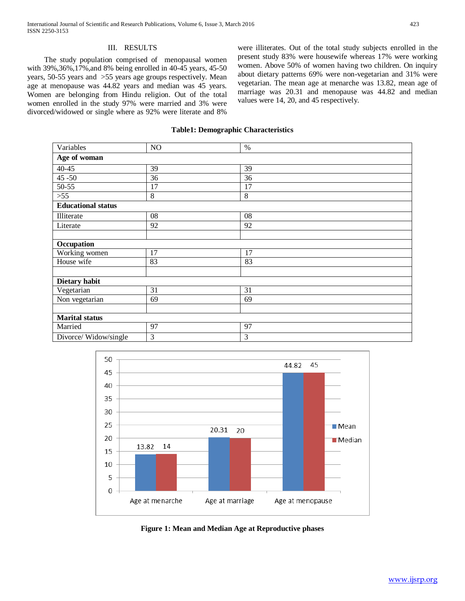# III. RESULTS

 The study population comprised of menopausal women with 39%,36%,17%,and 8% being enrolled in 40-45 years, 45-50 years, 50-55 years and >55 years age groups respectively. Mean age at menopause was 44.82 years and median was 45 years. Women are belonging from Hindu religion. Out of the total women enrolled in the study 97% were married and 3% were divorced/widowed or single where as 92% were literate and 8%

were illiterates. Out of the total study subjects enrolled in the present study 83% were housewife whereas 17% were working women. Above 50% of women having two children. On inquiry about dietary patterns 69% were non-vegetarian and 31% were vegetarian. The mean age at menarche was 13.82, mean age of marriage was 20.31 and menopause was 44.82 and median values were 14, 20, and 45 respectively.

## **Table1: Demographic Characteristics**

| Variables                 | NO | $\%$ |
|---------------------------|----|------|
| Age of woman              |    |      |
| $40 - 45$                 | 39 | 39   |
| $45 - 50$                 | 36 | 36   |
| 50-55                     | 17 | 17   |
| $>55$                     | 8  | 8    |
| <b>Educational status</b> |    |      |
| Illiterate                | 08 | 08   |
| Literate                  | 92 | 92   |
|                           |    |      |
| Occupation                |    |      |
| Working women             | 17 | 17   |
| House wife                | 83 | 83   |
|                           |    |      |
| Dietary habit             |    |      |
| Vegetarian                | 31 | 31   |
| Non vegetarian            | 69 | 69   |
|                           |    |      |
| <b>Marital status</b>     |    |      |
| Married                   | 97 | 97   |
| Divorce/Widow/single      | 3  | 3    |



**Figure 1: Mean and Median Age at Reproductive phases**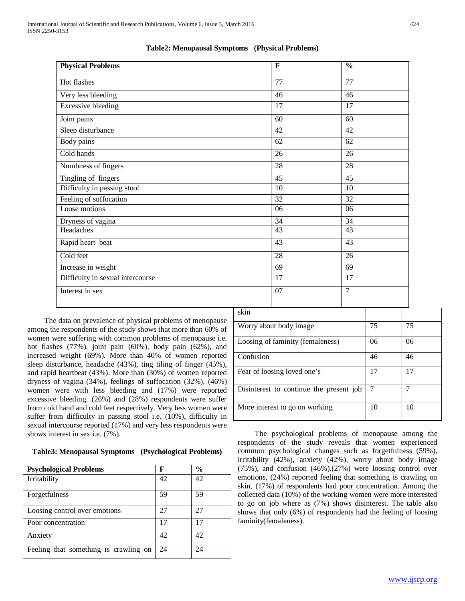| <b>Physical Problems</b>         | $\mathbf F$ | $\frac{0}{0}$  |
|----------------------------------|-------------|----------------|
| Hot flashes                      | 77          | 77             |
| Very less bleeding               | 46          | 46             |
| <b>Excessive bleeding</b>        | 17          | 17             |
| Joint pains                      | 60          | 60             |
| Sleep disturbance                | 42          | 42             |
| Body pains                       | 62          | 62             |
| Cold hands                       | 26          | 26             |
| Numbness of fingers              | 28          | 28             |
| Tingling of fingers              | 45          | 45             |
| Difficulty in passing stool      | 10          | 10             |
| Feeling of suffocation           | 32          | 32             |
| Loose motions                    | 06          | 06             |
| Dryness of vagina                | 34          | 34             |
| Headaches                        | 43          | 43             |
| Rapid heart beat                 | 43          | 43             |
| Cold feet                        | 28          | 26             |
| Increase in weight               | 69          | 69             |
| Difficulty in sexual intercourse | 17          | 17             |
| Interest in sex                  | 07          | $\overline{7}$ |

## **Table2: Menopausal Symptoms (Physical Problems)**

 The data on prevalence of physical problems of menopause among the respondents of the study shows that more than 60% of women were suffering with common problems of menopause i.e. hot flashes (77%), joint pain (60%), body pain (62%), and increased weight (69%). More than 40% of women reported sleep disturbance, headache (43%), ting tiling of finger (45%), and rapid heartbeat (43%). More than (30%) of women reported dryness of vagina (34%), feelings of suffocation (32%), (46%) women were with less bleeding and (17%) were reported excessive bleeding. (26%) and (28%) respondents were suffer from cold hand and cold feet respectively. Very less women were suffer from difficulty in passing stool i.e. (10%), difficulty in sexual intercourse reported (17%) and very less respondents were shows interest in sex i.e. (7%).

## **Table3: Menopausal Symptoms (Psychological Problems)**

| <b>Psychological Problems</b>         | F  | $\frac{0}{0}$ |
|---------------------------------------|----|---------------|
| Irritability                          | 42 | 42            |
| Forgetfulness                         | 59 | 59            |
| Loosing control over emotions         | 27 | 27            |
| Poor concentration                    | 17 |               |
| Anxiety                               | 42 | 42            |
| Feeling that something is crawling on | 24 | 24            |

| skin                                    |  |    |    |
|-----------------------------------------|--|----|----|
| Worry about body image                  |  | 75 | 75 |
| Loosing of faminity (femaleness)        |  | 06 | 06 |
| Confusion                               |  | 46 | 46 |
| Fear of loosing loved one's             |  | 17 | 17 |
| Disinterest to continue the present job |  | 7  | 7  |
| More interest to go on working          |  | 10 | 10 |

 The psychological problems of menopause among the respondents of the study reveals that women experienced common psychological changes such as forgetfulness (59%), irritability (42%), anxiety (42%), worry about body image (75%), and confusion (46%).(27%) were loosing control over emotions, (24%) reported feeling that something is crawling on skin, (17%) of respondents had poor concentration. Among the collected data (10%) of the working women were more interested to go on job where as (7%) shows disinterest. The table also shows that only (6%) of respondents had the feeling of loosing faminity(femaleness).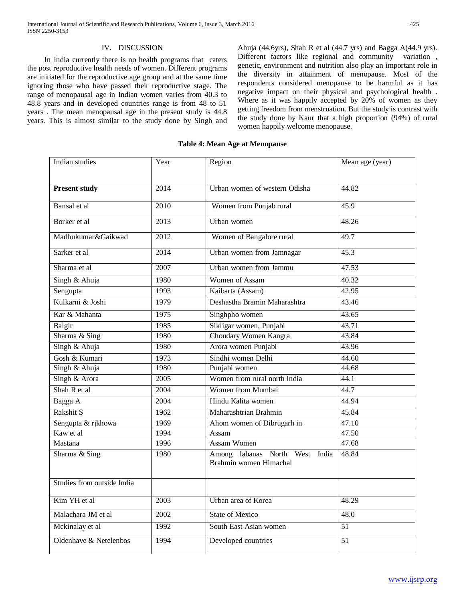## IV. DISCUSSION

 In India currently there is no health programs that caters the post reproductive health needs of women. Different programs are initiated for the reproductive age group and at the same time ignoring those who have passed their reproductive stage. The range of menopausal age in Indian women varies from 40.3 to 48.8 years and in developed countries range is from 48 to 51 years . The mean menopausal age in the present study is 44.8 years. This is almost similar to the study done by Singh and Ahuja (44.6yrs), Shah R et al (44.7 yrs) and Bagga A(44.9 yrs). Different factors like regional and community variation , genetic, environment and nutrition also play an important role in the diversity in attainment of menopause. Most of the respondents considered menopause to be harmful as it has negative impact on their physical and psychological health . Where as it was happily accepted by 20% of women as they getting freedom from menstruation. But the study is contrast with the study done by Kaur that a high proportion (94%) of rural women happily welcome menopause.

| Indian studies             | Year              | Region                                                   | Mean age (year) |
|----------------------------|-------------------|----------------------------------------------------------|-----------------|
|                            |                   |                                                          |                 |
| <b>Present study</b>       | 2014              | Urban women of western Odisha                            | 44.82           |
|                            |                   |                                                          |                 |
| Bansal et al               | 2010              | Women from Punjab rural                                  | 45.9            |
| Borker et al               | 2013              | Urban women                                              | 48.26           |
| Madhukumar&Gaikwad         | 2012              | Women of Bangalore rural                                 | 49.7            |
| Sarker et al               | $\overline{2014}$ | Urban women from Jamnagar                                | 45.3            |
| Sharma et al               | 2007              | Urban women from Jammu                                   | 47.53           |
| Singh & Ahuja              | 1980              | Women of Assam                                           | 40.32           |
| Sengupta                   | 1993              | Kaibarta (Assam)                                         | 42.95           |
| Kulkarni & Joshi           | 1979              | Deshastha Bramin Maharashtra                             | 43.46           |
| Kar & Mahanta              | 1975              | Singhpho women                                           | 43.65           |
| Balgir                     | 1985              | Sikligar women, Punjabi                                  | 43.71           |
| Sharma & Sing              | 1980              | Choudary Women Kangra                                    | 43.84           |
| Singh & Ahuja              | 1980              | Arora women Punjabi                                      | 43.96           |
| Gosh & Kumari              | 1973              | Sindhi women Delhi                                       | 44.60           |
| Singh & Ahuja              | 1980              | Punjabi women                                            | 44.68           |
| Singh & Arora              | 2005              | Women from rural north India                             | 44.1            |
| Shah R et al               | 2004              | Women from Mumbai                                        | 44.7            |
| Bagga A                    | 2004              | Hindu Kalita women                                       | 44.94           |
| Rakshit S                  | 1962              | Maharashtrian Brahmin                                    | 45.84           |
| Sengupta & rjkhowa         | 1969              | Ahom women of Dibrugarh in                               | 47.10           |
| Kaw et al                  | 1994              | Assam                                                    | 47.50           |
| Mastana                    | 1996              | <b>Assam Women</b>                                       | 47.68           |
| Sharma & Sing              | 1980              | Among labanas North West India<br>Brahmin women Himachal | 48.84           |
| Studies from outside India |                   |                                                          |                 |
| Kim YH et al               | 2003              | Urban area of Korea                                      | 48.29           |
| Malachara JM et al         | 2002              | <b>State of Mexico</b>                                   | 48.0            |
| Mckinalay et al            | 1992              | South East Asian women                                   | 51              |
| Oldenhave & Netelenbos     | 1994              | Developed countries                                      | $\overline{51}$ |

## **Table 4: Mean Age at Menopause**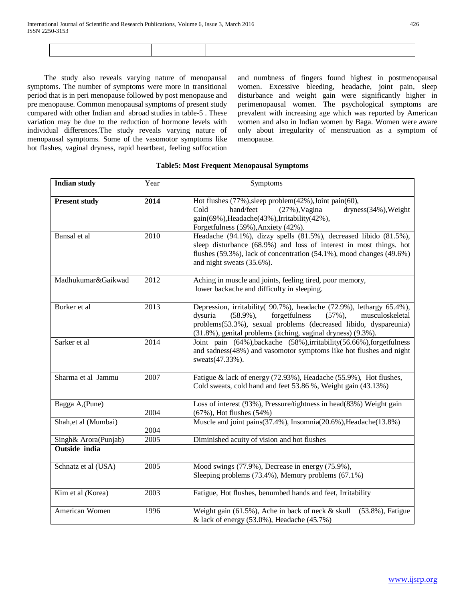The study also reveals varying nature of menopausal symptoms. The number of symptoms were more in transitional period that is in peri menopause followed by post menopause and pre menopause. Common menopausal symptoms of present study compared with other Indian and abroad studies in table-5 . These variation may be due to the reduction of hormone levels with individual differences.The study reveals varying nature of menopausal symptoms. Some of the vasomotor symptoms like hot flashes, vaginal dryness, rapid heartbeat, feeling suffocation and numbness of fingers found highest in postmenopausal women. Excessive bleeding, headache, joint pain, sleep disturbance and weight gain were significantly higher in perimenopausal women. The psychological symptoms are prevalent with increasing age which was reported by American women and also in Indian women by Baga. Women were aware only about irregularity of menstruation as a symptom of menopause.

| <b>Indian study</b>                   | Year | Symptoms                                                                                                                                                                                                                                                                              |
|---------------------------------------|------|---------------------------------------------------------------------------------------------------------------------------------------------------------------------------------------------------------------------------------------------------------------------------------------|
| <b>Present study</b>                  | 2014 | Hot flushes (77%), sleep problem (42%), Joint pain (60),<br>dryness(34%), Weight<br>Cold<br>hand/feet<br>$(27\%)$ , Vagina<br>gain(69%), Headache(43%), Irritability(42%),<br>Forgetfulness (59%), Anxiety (42%).                                                                     |
| Bansal et al                          | 2010 | Headache (94.1%), dizzy spells (81.5%), decreased libido (81.5%),<br>sleep disturbance (68.9%) and loss of interest in most things. hot<br>flushes (59.3%), lack of concentration (54.1%), mood changes (49.6%)<br>and night sweats (35.6%).                                          |
| Madhukumar&Gaikwad                    | 2012 | Aching in muscle and joints, feeling tired, poor memory,<br>lower backache and difficulty in sleeping.                                                                                                                                                                                |
| Borker et al                          | 2013 | Depression, irritability( 90.7%), headache (72.9%), lethargy 65.4%),<br>forgetfulness<br>$(58.9\%)$ ,<br>musculoskeletal<br>dysuria<br>$(57\%)$ ,<br>problems(53.3%), sexual problems (decreased libido, dyspareunia)<br>(31.8%), genital problems (itching, vaginal dryness) (9.3%). |
| Sarker et al                          | 2014 | Joint pain (64%), backache (58%), irritability (56.66%), forgetfulness<br>and sadness(48%) and vasomotor symptoms like hot flushes and night<br>sweats(47.33%).                                                                                                                       |
| Sharma et al Jammu                    | 2007 | Fatigue & lack of energy (72.93%), Headache (55.9%), Hot flushes,<br>Cold sweats, cold hand and feet 53.86 %, Weight gain (43.13%)                                                                                                                                                    |
| Bagga A, (Pune)                       | 2004 | Loss of interest (93%), Pressure/tightness in head(83%) Weight gain<br>$(67\%)$ , Hot flushes $(54\%)$                                                                                                                                                                                |
| Shah, et al (Mumbai)                  | 2004 | Muscle and joint pains(37.4%), Insomnia(20.6%), Headache(13.8%)                                                                                                                                                                                                                       |
| Singh& Arora(Punjab)<br>Outside india | 2005 | Diminished acuity of vision and hot flushes                                                                                                                                                                                                                                           |
| Schnatz et al (USA)                   | 2005 | Mood swings (77.9%), Decrease in energy (75.9%),<br>Sleeping problems (73.4%), Memory problems (67.1%)                                                                                                                                                                                |
| Kim et al (Korea)                     | 2003 | Fatigue, Hot flushes, benumbed hands and feet, Irritability                                                                                                                                                                                                                           |
| American Women                        | 1996 | Weight gain $(61.5\%)$ , Ache in back of neck & skull<br>(53.8%), Fatigue<br>& lack of energy (53.0%), Headache (45.7%)                                                                                                                                                               |

# **Table5: Most Frequent Menopausal Symptoms**